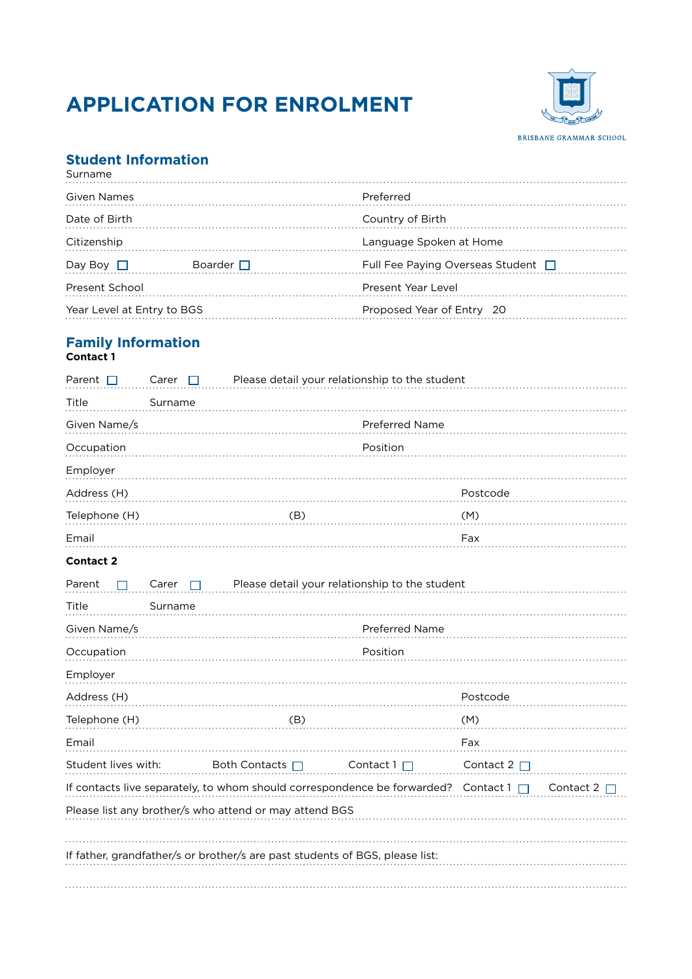# **APPLICATION FOR ENROLMENT**



### **Student Information**

| Surname                          |  |                                    |  |
|----------------------------------|--|------------------------------------|--|
| Given Names                      |  | Preferred                          |  |
| Date of Birth                    |  | Country of Birth                   |  |
| Citizenship                      |  | Language Spoken at Home            |  |
| Boarder $\Box$<br>Day Boy $\Box$ |  | Full Fee Paying Overseas Student □ |  |
| <b>Present School</b>            |  | Present Year Level                 |  |
| Year Level at Entry to BGS       |  | Proposed Year of Entry 20          |  |
|                                  |  |                                    |  |

# **Family Information**

| Contact 1 |  |
|-----------|--|
|-----------|--|

| Parent $\Box$                                                                                               | Carer                 | П        |                 |  | Please detail your relationship to the student                               |                  |  |
|-------------------------------------------------------------------------------------------------------------|-----------------------|----------|-----------------|--|------------------------------------------------------------------------------|------------------|--|
| Title                                                                                                       | Surname               |          |                 |  |                                                                              |                  |  |
| Given Name/s                                                                                                | <b>Preferred Name</b> |          |                 |  |                                                                              |                  |  |
| Occupation                                                                                                  |                       | Position |                 |  |                                                                              |                  |  |
| Employer                                                                                                    |                       |          |                 |  |                                                                              |                  |  |
| Address (H)                                                                                                 |                       |          |                 |  |                                                                              | Postcode         |  |
| Telephone (H)                                                                                               |                       |          | (B)             |  |                                                                              | (M)              |  |
| Email                                                                                                       |                       |          |                 |  |                                                                              | Fax              |  |
| <b>Contact 2</b>                                                                                            |                       |          |                 |  |                                                                              |                  |  |
| Parent                                                                                                      | Carer                 |          |                 |  | Please detail your relationship to the student                               |                  |  |
| Title                                                                                                       | Surname               |          |                 |  |                                                                              |                  |  |
| Given Name/s                                                                                                |                       |          |                 |  | Preferred Name                                                               |                  |  |
| Occupation                                                                                                  |                       |          |                 |  | Position                                                                     |                  |  |
| Employer                                                                                                    |                       |          |                 |  |                                                                              |                  |  |
| Address (H)                                                                                                 |                       |          |                 |  |                                                                              | Postcode         |  |
| Telephone (H)                                                                                               |                       |          | (B)             |  |                                                                              | (M)              |  |
| Email                                                                                                       |                       |          |                 |  |                                                                              | Fax              |  |
| Student lives with:                                                                                         |                       |          | Both Contacts □ |  | Contact $1\Box$                                                              | Contact $2 \Box$ |  |
| If contacts live separately, to whom should correspondence be forwarded?<br>Contact $1 \Box$<br>Contact 2 [ |                       |          |                 |  |                                                                              |                  |  |
| Please list any brother/s who attend or may attend BGS                                                      |                       |          |                 |  |                                                                              |                  |  |
|                                                                                                             |                       |          |                 |  |                                                                              |                  |  |
|                                                                                                             |                       |          |                 |  | If father, grandfather/s or brother/s are past students of BGS, please list: |                  |  |
|                                                                                                             |                       |          |                 |  |                                                                              |                  |  |